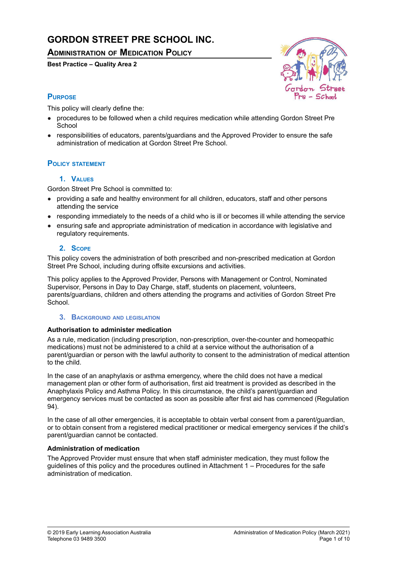# **GORDON STREET PRE SCHOOL INC.**

## **ADMINISTRATION OF MEDICATION POLICY**

**Best Practice – Quality Area 2**



## **PURPOSE**

This policy will clearly define the:

- procedures to be followed when a child requires medication while attending Gordon Street Pre **School**
- responsibilities of educators, parents/guardians and the Approved Provider to ensure the safe administration of medication at Gordon Street Pre School.

## **POLICY STATEMENT**

### **1. VALUES**

Gordon Street Pre School is committed to:

- providing a safe and healthy environment for all children, educators, staff and other persons attending the service
- responding immediately to the needs of a child who is ill or becomes ill while attending the service
- ensuring safe and appropriate administration of medication in accordance with legislative and regulatory requirements.

### **2. SCOPE**

This policy covers the administration of both prescribed and non-prescribed medication at Gordon Street Pre School, including during offsite excursions and activities.

This policy applies to the Approved Provider, Persons with Management or Control, Nominated Supervisor, Persons in Day to Day Charge, staff, students on placement, volunteers, parents/guardians, children and others attending the programs and activities of Gordon Street Pre School.

#### **3. BACKGROUND AND LEGISLATION**

### **Authorisation to administer medication**

As a rule, medication (including prescription, non-prescription, over-the-counter and homeopathic medications) must not be administered to a child at a service without the authorisation of a parent/guardian or person with the lawful authority to consent to the administration of medical attention to the child.

In the case of an anaphylaxis or asthma emergency, where the child does not have a medical management plan or other form of authorisation, first aid treatment is provided as described in the Anaphylaxis Policy and Asthma Policy. In this circumstance, the child's parent/guardian and emergency services must be contacted as soon as possible after first aid has commenced (Regulation 94).

In the case of all other emergencies, it is acceptable to obtain verbal consent from a parent/guardian, or to obtain consent from a registered medical practitioner or medical emergency services if the child's parent/guardian cannot be contacted.

#### **Administration of medication**

The Approved Provider must ensure that when staff administer medication, they must follow the guidelines of this policy and the procedures outlined in Attachment 1 – Procedures for the safe administration of medication.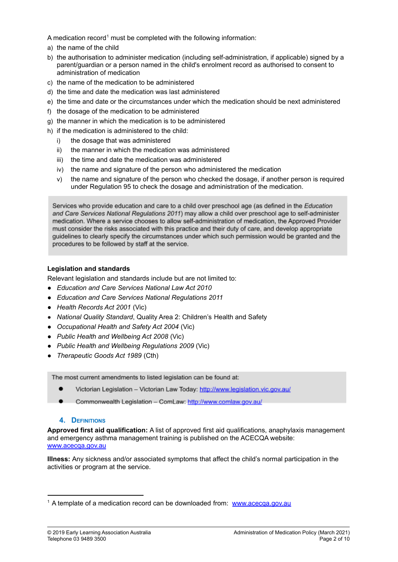A medication record<sup>1</sup> must be completed with the following information:

- a) the name of the child
- b) the authorisation to administer medication (including self-administration, if applicable) signed by a parent/guardian or a person named in the child's enrolment record as authorised to consent to administration of medication
- c) the name of the medication to be administered
- d) the time and date the medication was last administered
- e) the time and date or the circumstances under which the medication should be next administered
- f) the dosage of the medication to be administered
- g) the manner in which the medication is to be administered
- h) if the medication is administered to the child:
	- i) the dosage that was administered
	- ii) the manner in which the medication was administered
	- iii) the time and date the medication was administered
	- iv) the name and signature of the person who administered the medication
	- v) the name and signature of the person who checked the dosage, if another person is required under Regulation 95 to check the dosage and administration of the medication.

Services who provide education and care to a child over preschool age (as defined in the Education and Care Services National Regulations 2011) may allow a child over preschool age to self-administer medication. Where a service chooses to allow self-administration of medication, the Approved Provider must consider the risks associated with this practice and their duty of care, and develop appropriate guidelines to clearly specify the circumstances under which such permission would be granted and the procedures to be followed by staff at the service.

## **Legislation and standards**

Relevant legislation and standards include but are not limited to:

- *● Education and Care Services National Law Act 2010*
- *● Education and Care Services National Regulations 2011*
- *● Health Records Act 2001* (Vic)
- *National Quality Standard*, Quality Area 2: Children's Health and Safety
- *● Occupational Health and Safety Act 2004* (Vic)
- *● Public Health and Wellbeing Act 2008* (Vic)
- *● Public Health and Wellbeing Regulations 2009* (Vic)
- *● Therapeutic Goods Act 1989* (Cth)

The most current amendments to listed legislation can be found at:

- Victorian Legislation Victorian Law Today: http://www.legislation.vic.gov.au/
- Commonwealth Legislation ComLaw: http://www.comlaw.gov.au/

## **4. DEFINITIONS**

**Approved first aid qualification:** A list of approved first aid qualifications, anaphylaxis management and emergency asthma management training is published on the ACECQA website: [www.acecqa.gov.au](http://www.acecqa.gov.au)

**Illness:** Any sickness and/or associated symptoms that affect the child's normal participation in the activities or program at the service.

<sup>&</sup>lt;sup>1</sup> A template of a medication record can be downloaded from: [www.acecqa.gov.au](http://www.acecqa.gov.au)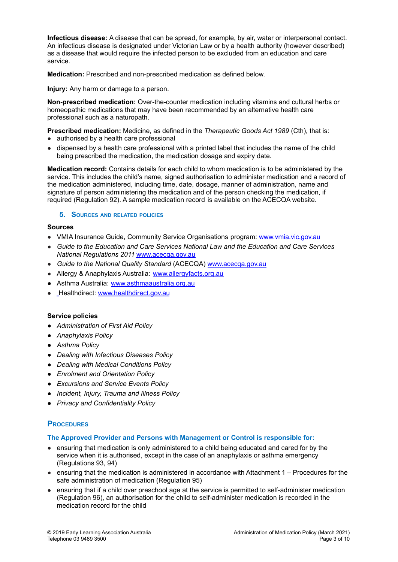**Infectious disease:** A disease that can be spread, for example, by air, water or interpersonal contact. An infectious disease is designated under Victorian Law or by a health authority (however described) as a disease that would require the infected person to be excluded from an education and care service.

**Medication:** Prescribed and non-prescribed medication as defined below.

**Injury:** Any harm or damage to a person.

**Non-prescribed medication:** Over-the-counter medication including vitamins and cultural herbs or homeopathic medications that may have been recommended by an alternative health care professional such as a naturopath.

**Prescribed medication:** Medicine, as defined in the *Therapeutic Goods Act 1989* (Cth), that is: ● authorised by a health care professional

dispensed by a health care professional with a printed label that includes the name of the child being prescribed the medication, the medication dosage and expiry date.

**Medication record:** Contains details for each child to whom medication is to be administered by the service. This includes the child's name, signed authorisation to administer medication and a record of the medication administered, including time, date, dosage, manner of administration, name and signature of person administering the medication and of the person checking the medication, if required (Regulation 92). A sample medication record is available on the ACECQA website.

#### **5. SOURCES AND RELATED POLICIES**

#### **Sources**

- VMIA Insurance Guide, Community Service Organisations program: [www.vmia.vic.gov.au](http://www.vmia.vic.gov.au)
- *Guide to the Education and Care Services National Law and the Education and Care Services National Regulations 2011* [www.acecqa.gov.au](http://www.acecqa.gov.au)
- *Guide to the National Quality Standard* (ACECQA) [www.acecqa.gov.au](http://www.acecqa.gov.au)
- Allergy & Anaphylaxis Australia: [www.allergyfacts.org.au](http://www.allergyfacts.org.au)
- Asthma Australia: [www.asthmaaustralia.org.au](http://www.asthmaaustralia.org.au)
- Healthdirect: [www.healthdirect.gov.au](http://www.healthdirect.gov.au)

#### **Service policies**

- *● Administration of First Aid Policy*
- *● Anaphylaxis Policy*
- *● Asthma Policy*
- *● Dealing with Infectious Diseases Policy*
- *● Dealing with Medical Conditions Policy*
- *● Enrolment and Orientation Policy*
- *● Excursions and Service Events Policy*
- *● Incident, Injury, Trauma and Illness Policy*
- *● Privacy and Confidentiality Policy*

## **PROCEDURES**

#### **The Approved Provider and Persons with Management or Control is responsible for:**

- ensuring that medication is only administered to a child being educated and cared for by the service when it is authorised, except in the case of an anaphylaxis or asthma emergency (Regulations 93, 94)
- ensuring that the medication is administered in accordance with Attachment 1 Procedures for the safe administration of medication (Regulation 95)
- ensuring that if a child over preschool age at the service is permitted to self-administer medication (Regulation 96), an authorisation for the child to self-administer medication is recorded in the medication record for the child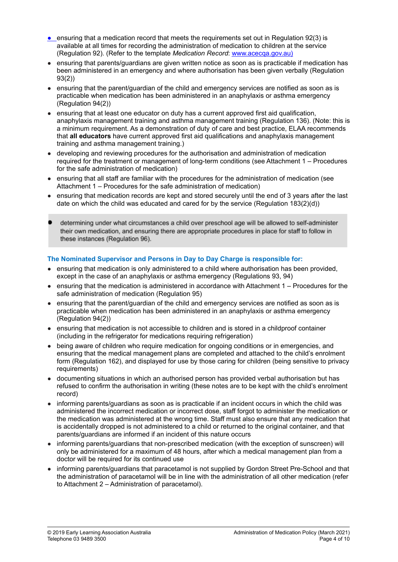- ensuring that a medication record that meets the requirements set out in Regulation 92(3) is available at all times for recording the administration of medication to children at the service (Regulation 92). (Refer to the template *Medication Record*: [www.acecqa.gov.au\)](http://www.acecqa.gov.au)
- ensuring that parents/guardians are given written notice as soon as is practicable if medication has been administered in an emergency and where authorisation has been given verbally (Regulation 93(2))
- ensuring that the parent/guardian of the child and emergency services are notified as soon as is practicable when medication has been administered in an anaphylaxis or asthma emergency (Regulation 94(2))
- ensuring that at least one educator on duty has a current approved first aid qualification, anaphylaxis management training and asthma management training (Regulation 136). (Note: this is a minimum requirement. As a demonstration of duty of care and best practice, ELAA recommends that **all educators** have current approved first aid qualifications and anaphylaxis management training and asthma management training.)
- developing and reviewing procedures for the authorisation and administration of medication required for the treatment or management of long-term conditions (see Attachment 1 – Procedures for the safe administration of medication)
- ensuring that all staff are familiar with the procedures for the administration of medication (see Attachment 1 – Procedures for the safe administration of medication)
- ensuring that medication records are kept and stored securely until the end of 3 years after the last date on which the child was educated and cared for by the service (Regulation 183(2)(d))
- determining under what circumstances a child over preschool age will be allowed to self-administer their own medication, and ensuring there are appropriate procedures in place for staff to follow in these instances (Regulation 96).

### **The Nominated Supervisor and Persons in Day to Day Charge is responsible for:**

- ensuring that medication is only administered to a child where authorisation has been provided, except in the case of an anaphylaxis or asthma emergency (Regulations 93, 94)
- ensuring that the medication is administered in accordance with Attachment 1 Procedures for the safe administration of medication (Regulation 95)
- ensuring that the parent/quardian of the child and emergency services are notified as soon as is practicable when medication has been administered in an anaphylaxis or asthma emergency (Regulation 94(2))
- ensuring that medication is not accessible to children and is stored in a childproof container (including in the refrigerator for medications requiring refrigeration)
- being aware of children who require medication for ongoing conditions or in emergencies, and ensuring that the medical management plans are completed and attached to the child's enrolment form (Regulation 162), and displayed for use by those caring for children (being sensitive to privacy requirements)
- documenting situations in which an authorised person has provided verbal authorisation but has refused to confirm the authorisation in writing (these notes are to be kept with the child's enrolment record)
- informing parents/guardians as soon as is practicable if an incident occurs in which the child was administered the incorrect medication or incorrect dose, staff forgot to administer the medication or the medication was administered at the wrong time. Staff must also ensure that any medication that is accidentally dropped is not administered to a child or returned to the original container, and that parents/guardians are informed if an incident of this nature occurs
- informing parents/guardians that non-prescribed medication (with the exception of sunscreen) will only be administered for a maximum of 48 hours, after which a medical management plan from a doctor will be required for its continued use
- informing parents/guardians that paracetamol is not supplied by Gordon Street Pre-School and that the administration of paracetamol will be in line with the administration of all other medication (refer to Attachment 2 – Administration of paracetamol).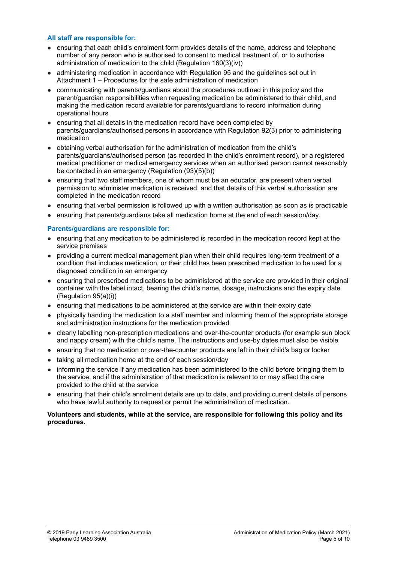#### **All staff are responsible for:**

- ensuring that each child's enrolment form provides details of the name, address and telephone number of any person who is authorised to consent to medical treatment of, or to authorise administration of medication to the child (Regulation 160(3)(iv))
- administering medication in accordance with Regulation 95 and the guidelines set out in Attachment 1 – Procedures for the safe administration of medication
- communicating with parents/guardians about the procedures outlined in this policy and the parent/guardian responsibilities when requesting medication be administered to their child, and making the medication record available for parents/guardians to record information during operational hours
- ensuring that all details in the medication record have been completed by parents/guardians/authorised persons in accordance with Regulation 92(3) prior to administering medication
- obtaining verbal authorisation for the administration of medication from the child's parents/guardians/authorised person (as recorded in the child's enrolment record), or a registered medical practitioner or medical emergency services when an authorised person cannot reasonably be contacted in an emergency (Regulation (93)(5)(b))
- ensuring that two staff members, one of whom must be an educator, are present when verbal permission to administer medication is received, and that details of this verbal authorisation are completed in the medication record
- ensuring that verbal permission is followed up with a written authorisation as soon as is practicable
- ensuring that parents/guardians take all medication home at the end of each session/day.

#### **Parents/guardians are responsible for:**

- ensuring that any medication to be administered is recorded in the medication record kept at the service premises
- providing a current medical management plan when their child requires long-term treatment of a condition that includes medication, or their child has been prescribed medication to be used for a diagnosed condition in an emergency
- ensuring that prescribed medications to be administered at the service are provided in their original container with the label intact, bearing the child's name, dosage, instructions and the expiry date (Regulation 95(a)(i))
- ensuring that medications to be administered at the service are within their expiry date
- physically handing the medication to a staff member and informing them of the appropriate storage and administration instructions for the medication provided
- clearly labelling non-prescription medications and over-the-counter products (for example sun block and nappy cream) with the child's name. The instructions and use-by dates must also be visible
- ensuring that no medication or over-the-counter products are left in their child's bag or locker
- taking all medication home at the end of each session/day
- informing the service if any medication has been administered to the child before bringing them to the service, and if the administration of that medication is relevant to or may affect the care provided to the child at the service
- ensuring that their child's enrolment details are up to date, and providing current details of persons who have lawful authority to request or permit the administration of medication.

#### **Volunteers and students, while at the service, are responsible for following this policy and its procedures.**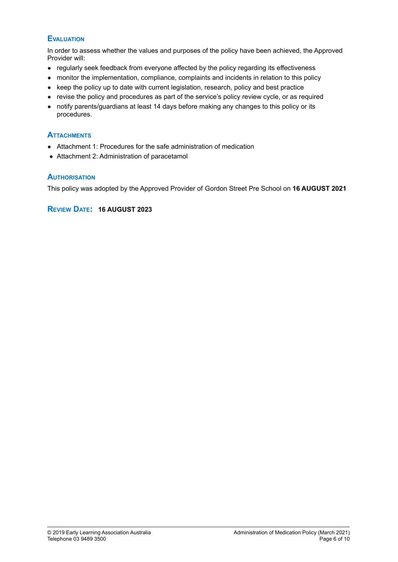## **EVALUATION**

In order to assess whether the values and purposes of the policy have been achieved, the Approved Provider will:

- regularly seek feedback from everyone affected by the policy regarding its effectiveness
- monitor the implementation, compliance, complaints and incidents in relation to this policy
- keep the policy up to date with current legislation, research, policy and best practice
- revise the policy and procedures as part of the service's policy review cycle, or as required
- notify parents/guardians at least 14 days before making any changes to this policy or its procedures.

### **ATTACHMENTS**

- Attachment 1: Procedures for the safe administration of medication
- Attachment 2: Administration of paracetamol

### **AUTHORISATION**

This policy was adopted by the Approved Provider of Gordon Street Pre School on **16 AUGUST 2021**

## **REVIEW DATE: 16 AUGUST 2023**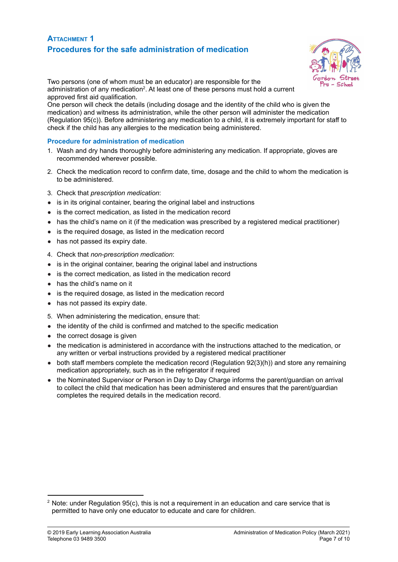## **ATTACHMENT 1 Procedures for the safe administration of medication**



Two persons (one of whom must be an educator) are responsible for the administration of any medication<sup>2</sup>. At least one of these persons must hold a current approved first aid qualification.

One person will check the details (including dosage and the identity of the child who is given the medication) and witness its administration, while the other person will administer the medication (Regulation 95(c)). Before administering any medication to a child, it is extremely important for staff to check if the child has any allergies to the medication being administered.

#### **Procedure for administration of medication**

- 1. Wash and dry hands thoroughly before administering any medication. If appropriate, gloves are recommended wherever possible.
- 2. Check the medication record to confirm date, time, dosage and the child to whom the medication is to be administered.
- 3. Check that *prescription medication*:
- is in its original container, bearing the original label and instructions
- is the correct medication, as listed in the medication record
- has the child's name on it (if the medication was prescribed by a registered medical practitioner)
- is the required dosage, as listed in the medication record
- has not passed its expiry date.
- 4. Check that *non-prescription medication*:
- is in the original container, bearing the original label and instructions
- is the correct medication, as listed in the medication record
- has the child's name on it
- is the required dosage, as listed in the medication record
- has not passed its expiry date.
- 5. When administering the medication, ensure that:
- the identity of the child is confirmed and matched to the specific medication
- the correct dosage is given
- the medication is administered in accordance with the instructions attached to the medication, or any written or verbal instructions provided by a registered medical practitioner
- both staff members complete the medication record (Regulation 92(3)(h)) and store any remaining medication appropriately, such as in the refrigerator if required
- the Nominated Supervisor or Person in Day to Day Charge informs the parent/quardian on arrival to collect the child that medication has been administered and ensures that the parent/guardian completes the required details in the medication record.

 $2$  Note: under Regulation 95(c), this is not a requirement in an education and care service that is permitted to have only one educator to educate and care for children.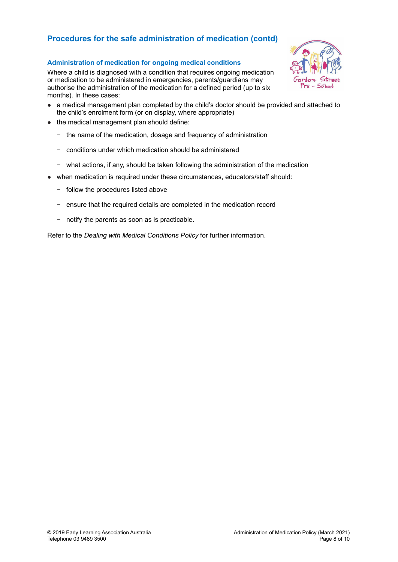## **Procedures for the safe administration of medication (contd)**

### **Administration of medication for ongoing medical conditions**

Where a child is diagnosed with a condition that requires ongoing medication or medication to be administered in emergencies, parents/guardians may authorise the administration of the medication for a defined period (up to six months). In these cases:



- a medical management plan completed by the child's doctor should be provided and attached to the child's enrolment form (or on display, where appropriate)
- the medical management plan should define:
	- − the name of the medication, dosage and frequency of administration
	- − conditions under which medication should be administered
	- − what actions, if any, should be taken following the administration of the medication
- when medication is required under these circumstances, educators/staff should:
	- − follow the procedures listed above
	- − ensure that the required details are completed in the medication record
	- − notify the parents as soon as is practicable.

Refer to the *Dealing with Medical Conditions Policy* for further information.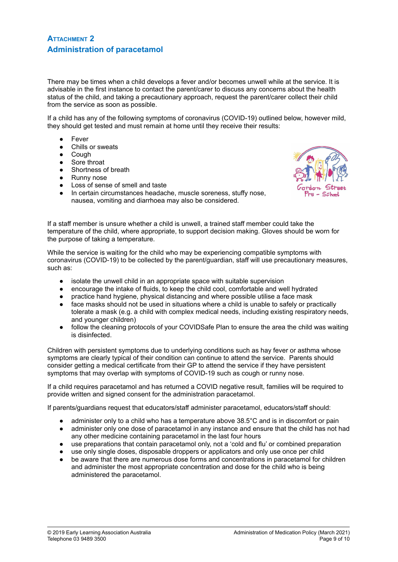## **ATTACHMENT 2 Administration of paracetamol**

There may be times when a child develops a fever and/or becomes unwell while at the service. It is advisable in the first instance to contact the parent/carer to discuss any concerns about the health status of the child, and taking a precautionary approach, request the parent/carer collect their child from the service as soon as possible.

If a child has any of the following symptoms of coronavirus (COVID-19) outlined below, however mild, they should get tested and must remain at home until they receive their results:

- Fever
- Chills or sweats
- Cough
- Sore throat
- Shortness of breath
- Runny nose
- Loss of sense of smell and taste
- In certain circumstances headache, muscle soreness, stuffy nose, nausea, vomiting and diarrhoea may also be considered.



If a staff member is unsure whether a child is unwell, a trained staff member could take the temperature of the child, where appropriate, to support decision making. Gloves should be worn for the purpose of taking a temperature.

While the service is waiting for the child who may be experiencing compatible symptoms with coronavirus (COVID-19) to be collected by the parent/guardian, staff will use precautionary measures, such as:

- isolate the unwell child in an appropriate space with suitable supervision
- encourage the intake of fluids, to keep the child cool, comfortable and well hydrated<br>● practice hand hygiene, physical distancing and where possible utilise a face mask
- practice hand hygiene, physical distancing and where possible utilise a face mask
- face masks should not be used in situations where a child is unable to safely or practically tolerate a mask (e.g. a child with complex medical needs, including existing respiratory needs, and younger children)
- follow the cleaning protocols of your COVIDSafe Plan to ensure the area the child was waiting is disinfected.

Children with persistent symptoms due to underlying conditions such as hay fever or asthma whose symptoms are clearly typical of their condition can continue to attend the service. Parents should consider getting a medical certificate from their GP to attend the service if they have persistent symptoms that may overlap with symptoms of COVID-19 such as cough or runny nose.

If a child requires paracetamol and has returned a COVID negative result, families will be required to provide written and signed consent for the administration paracetamol.

If parents/guardians request that educators/staff administer paracetamol, educators/staff should:

- administer only to a child who has a temperature above  $38.5^{\circ}$ C and is in discomfort or pain
- administer only one dose of paracetamol in any instance and ensure that the child has not had any other medicine containing paracetamol in the last four hours
- use preparations that contain paracetamol only, not a 'cold and flu' or combined preparation
- use only single doses, disposable droppers or applicators and only use once per child
- be aware that there are numerous dose forms and concentrations in paracetamol for children and administer the most appropriate concentration and dose for the child who is being administered the paracetamol.